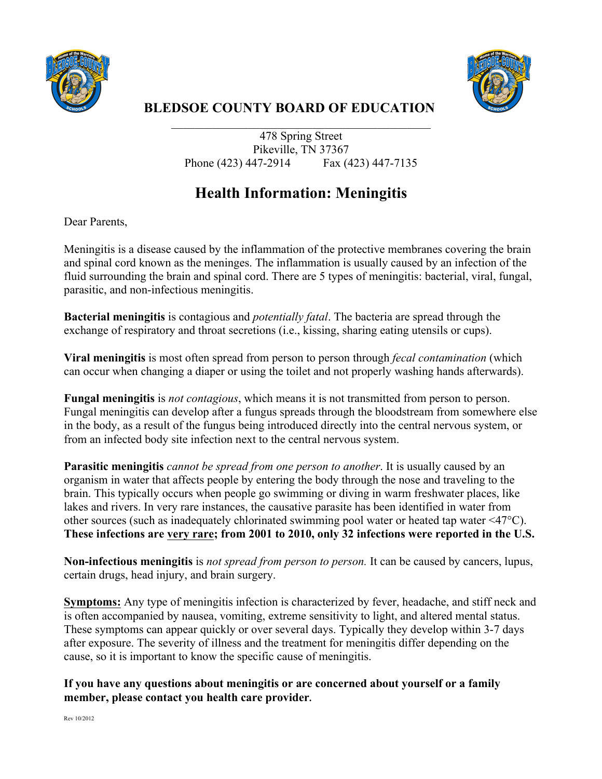



## **BLEDSOE COUNTY BOARD OF EDUCATION**

478 Spring Street Pikeville, TN 37367 Phone (423) 447-2914 Fax (423) 447-7135

\_\_\_\_\_\_\_\_\_\_\_\_\_\_\_\_\_\_\_\_\_\_\_\_\_\_\_\_\_\_\_\_\_\_\_\_\_\_\_\_\_\_\_\_

## **Health Information: Meningitis**

Dear Parents,

Meningitis is a disease caused by the inflammation of the protective membranes covering the brain and spinal cord known as the meninges. The inflammation is usually caused by an infection of the fluid surrounding the brain and spinal cord. There are 5 types of meningitis: bacterial, viral, fungal, parasitic, and non-infectious meningitis.

**Bacterial meningitis** is contagious and *potentially fatal*. The bacteria are spread through the exchange of respiratory and throat secretions (i.e., kissing, sharing eating utensils or cups).

**Viral meningitis** is most often spread from person to person through *fecal contamination* (which can occur when changing a diaper or using the toilet and not properly washing hands afterwards).

**Fungal meningitis** is *not contagious*, which means it is not transmitted from person to person. Fungal meningitis can develop after a fungus spreads through the bloodstream from somewhere else in the body, as a result of the fungus being introduced directly into the central nervous system, or from an infected body site infection next to the central nervous system.

**Parasitic meningitis** *cannot be spread from one person to another*. It is usually caused by an organism in water that affects people by entering the body through the nose and traveling to the brain. This typically occurs when people go swimming or diving in warm freshwater places, like lakes and rivers. In very rare instances, the causative parasite has been identified in water from other sources (such as inadequately chlorinated swimming pool water or heated tap water <47°C). **These infections are very rare; from 2001 to 2010, only 32 infections were reported in the U.S.**

**Non-infectious meningitis** is *not spread from person to person.* It can be caused by cancers, lupus, certain drugs, head injury, and brain surgery.

**Symptoms:** Any type of meningitis infection is characterized by fever, headache, and stiff neck and is often accompanied by nausea, vomiting, extreme sensitivity to light, and altered mental status. These symptoms can appear quickly or over several days. Typically they develop within 3-7 days after exposure. The severity of illness and the treatment for meningitis differ depending on the cause, so it is important to know the specific cause of meningitis.

**If you have any questions about meningitis or are concerned about yourself or a family member, please contact you health care provider.**